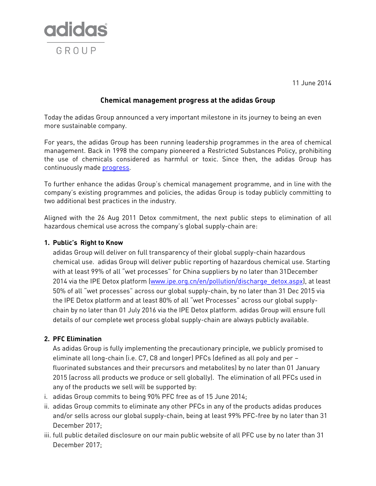

11 June 2014

## **Chemical management progress at the adidas Group**

Today the adidas Group announced a very important milestone in its journey to being an even more sustainable company.

For years, the adidas Group has been running leadership programmes in the area of chemical management. Back in 1998 the company pioneered a Restricted Substances Policy, prohibiting the use of chemicals considered as harmful or toxic. Since then, the adidas Group has continuously mad[e progress.](http://www.adidas-group.com/en/sustainability/planet/chemical-footprint/)

To further enhance the adidas Group's chemical management programme, and in line with the company's existing programmes and policies, the adidas Group is today publicly committing to two additional best practices in the industry.

Aligned with the 26 Aug 2011 Detox commitment, the next public steps to elimination of all hazardous chemical use across the company's global supply-chain are:

## **1. Public's Right to Know**

adidas Group will deliver on full transparency of their global supply-chain hazardous chemical use. adidas Group will deliver public reporting of hazardous chemical use. Starting with at least 99% of all "wet processes" for China suppliers by no later than 31December 2014 via the IPE Detox platform [\(www.ipe.org.cn/en/pollution/discharge\\_detox.aspx\)](http://www.ipe.org.cn/en/pollution/discharge_detox.aspx), at least 50% of all "wet processes" across our global supply-chain, by no later than 31 Dec 2015 via the IPE Detox platform and at least 80% of all "wet Processes" across our global supplychain by no later than 01 July 2016 via the IPE Detox platform. adidas Group will ensure full details of our complete wet process global supply-chain are always publicly available.

## **2. PFC Elimination**

As adidas Group is fully implementing the precautionary principle, we publicly promised to eliminate all long-chain (i.e. C7, C8 and longer) PFCs (defined as all poly and per – fluorinated substances and their precursors and metabolites) by no later than 01 January 2015 (across all products we produce or sell globally). The elimination of all PFCs used in any of the products we sell will be supported by:

- i. adidas Group commits to being 90% PFC free as of 15 June 2014;
- ii. adidas Group commits to eliminate any other PFCs in any of the products adidas produces and/or sells across our global supply-chain, being at least 99% PFC-free by no later than 31 December 2017;
- iii. full public detailed disclosure on our main public website of all PFC use by no later than 31 December 2017;